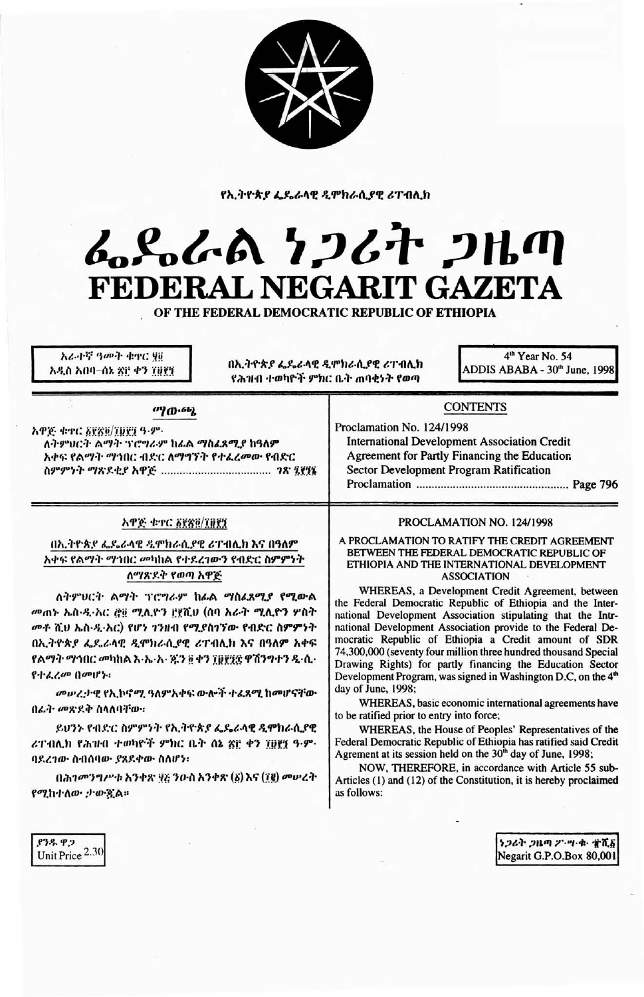

የኢትዮጵያ ፌዴራላዊ ዲሞክራሲያዊ ሪፐብሊክ

# ፌዴራል ነጋሪት ጋዜጣ FEDERAL NEGARIT GAZETA

OF THE FEDERAL DEMOCRATIC REPUBLIC OF ETHIOPIA

አራተኛ ዓመት ቁዋር ሃፅ አዲስ አበባ–ሰኔ ጽ፫ ቀን ፲፱፻፺

በኢትዮጵያ ፌዴራላዊ ዲሞክራሲያዊ ሪፐብሊክ የሕዝብ ተወካዮች ምክር ቤት ጠባቂነት የወጣ

4<sup>th</sup> Year No. 54 ADDIS ABABA - 30th June, 1998

## ማውጫ

አዋጅ ቁተር ፩፻፳፬/፲፱፻፺ ዓ.ም. ለትምህርት ልማት ፕሮግራም ከፊል ማስፈጸሚያ ከዓለም አቀፍ የልማት ማኅበር ብድር ለማግኘት የተፈረመው የብድር 

# አዋጅ ቁጥር ፩፻ጽ፬/፲፱፻፺

በኢትዮጵያ ፌዴራላዊ ዲሞክራሲያዊ ሪፐብሊክ እና በዓለም አቀፍ የልማት ማኅበር መካከል የተደረገውን የብድር ስምምነት ለማጽዶቅ የወጣ አዋጅ

ለትምህርት ልማት ፕሮግራም ከፊል ማስፊጸሚያ የሚውል መጠኑ ኤስ-ዲ-አር ሮ፱ ሚሊዮን በያሺህ (ሰባ አራት ሚሊዮን ሦስት መቶ ሺህ ኤስ-ዲ-አር) የሆነ ገንዘብ የሚያስገኘው የብድር ስምምነት በኢትዮጵያ ፌዴራላዊ ዲሞክራሲያዊ ሪፐብሊክ እና በዓለም አቀፍ የልማት ማኅበር መካከል እ-ኤ-አ- ጁን ፬ ቀን ፲፬፻፶፰ ዋሽንግተን ዲ-ሲ-የተፈረመ በመሆኑ፡

መሥረታዊ የኢኮኖሚ ዓለምአቀፍ ውሎች ተፈጻሚ ከመሆናቸው በፊት መጽደቅ ስላለባቸው።

ይህንኑ የብድር ስምምንት የኢትዮጵያ ፌዴራላዊ ዲሞክራሲያዊ ሪፐብሊክ የሕዝብ ተወካዮች ምክር ቤት ሰኔ ጽፎ ቀን ፲፱፻፶ ዓ-ም-ባደረገው ስብሰባው ያጸደቀው ስለሆነ፡

በሕገመንግሥቱ አንቀጽ ፶፩ ንዑስ አንቀጽ (፩) እና (፲፪) መሠረት የሚከተለው ታውዷል።

# **CONTENTS**

Proclamation No. 124/1998 **International Development Association Credit** Agreement for Partly Financing the Education **Sector Development Program Ratification** 

## PROCLAMATION NO. 124/1998

A PROCLAMATION TO RATIFY THE CREDIT AGREEMENT BETWEEN THE FEDERAL DEMOCRATIC REPUBLIC OF ETHIOPIA AND THE INTERNATIONAL DEVELOPMENT **ASSOCIATION** 

WHEREAS, a Development Credit Agreement, between the Federal Democratic Republic of Ethiopia and the International Development Association stipulating that the Intrnational Development Association provide to the Federal Democratic Republic of Ethiopia a Credit amount of SDR 74,300,000 (seventy four million three hundred thousand Special Drawing Rights) for partly financing the Education Sector Development Program, was signed in Washington D.C, on the 4<sup>th</sup> day of June, 1998;

WHEREAS, basic economic international agreements have to be ratified prior to entry into force;

WHEREAS, the House of Peoples' Representatives of the Federal Democratic Republic of Ethiopia has ratified said Credit Agrement at its session held on the 30<sup>th</sup> day of June, 1998;

NOW, THEREFORE, in accordance with Article 55 sub-Articles (1) and (12) of the Constitution, it is hereby proclaimed as follows:

ያንዱ ዋጋ Unit Price 2.30

うつるት ンルの 25.ツ・ホーオバる Negarit G.P.O.Box 80,001